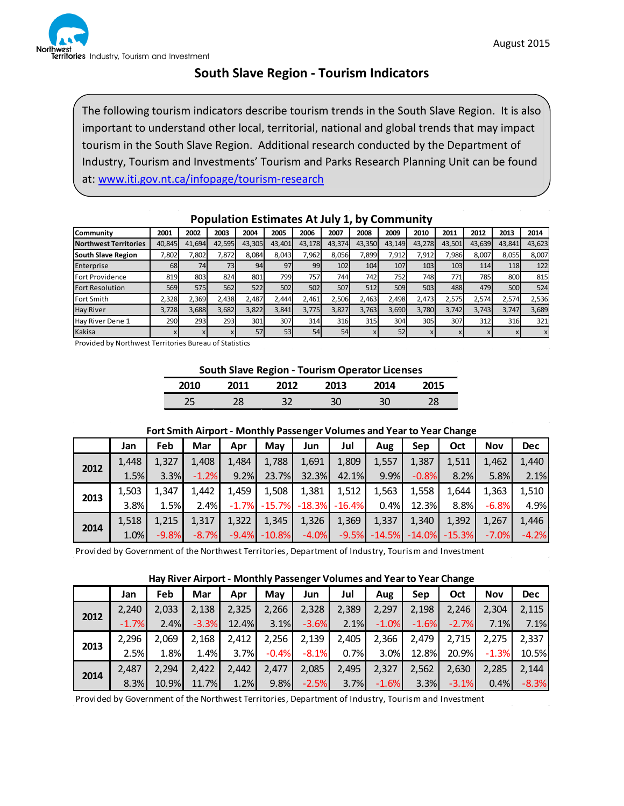

## **South Slave Region - Tourism Indicators**

The following tourism indicators describe tourism trends in the South Slave Region. It is also important to understand other local, territorial, national and global trends that may impact tourism in the South Slave Region. Additional research conducted by the Department of Industry, Tourism and Investments' Tourism and Parks Research Planning Unit can be found at: [www.iti.gov.nt.ca/infopage/tourism-research](http://www.iti.gov.nt.ca/infopage/tourism-research)

| .                            |           |        |        |        |        |        |        |        |        |        |        |        |        |                           |
|------------------------------|-----------|--------|--------|--------|--------|--------|--------|--------|--------|--------|--------|--------|--------|---------------------------|
| Community                    | 2001      | 2002   | 2003   | 2004   | 2005   | 2006   | 2007   | 2008   | 2009   | 2010   | 2011   | 2012   | 2013   | 2014                      |
| <b>Northwest Territories</b> | 40,845    | 41.694 | 42,595 | 43,305 | 43,401 | 43,178 | 43,374 | 43,350 | 43,149 | 43,278 | 43,501 | 43,639 | 43,841 | 43,623                    |
| South Slave Region           | 7,802     | ,802   | 7,872  | 8.084  | 8,043  | 7,962  | 8,056  | 7,899  | 7,912  | 7,912  | 7,986  | 8,007  | 8,055  | 8,007                     |
| Enterprise                   | <b>68</b> | 74     | 73I    | 94     | 97     | 99     | 102    | 104    | 107    | 103    | 103    | 114    | 118    | 122                       |
| <b>Fort Providence</b>       | 819       | 803    | 824    | 801    | 799    | 757    | 744    | 742    | 7521   | 748    | 771    | 785    | 800    | 815                       |
| <b>Fort Resolution</b>       | 569       | 575l   | 562    | 522    | 502    | 502    | 507    | 512    | 509    | 503    | 488    | 479    | 500    | 524                       |
| Fort Smith                   | 2,328     | 2.369  | 2,438  | 2.487  | 2.444  | 2.461  | 2,506  | 2.463  | 2,498  | 2,473  | 2,575  | 2,574  | 2,574  | 2,536                     |
| <b>Hay River</b>             | 3,728     | 3,688  | 3,682  | 3,822  | 3,841  | 3,775  | 3,827  | 3,763  | 3,690  | 3,780  | 3.742  | 3,743  | 3,747  | 3,689                     |
| Hay River Dene 1             | 290       | 293    | 293    | 301    | 307    | 314    | 316    | 315    | 304    | 305    | 307    | 312    | 316    | 321                       |
| Kakisa                       |           | x      |        | 57     | 53     | 54     | 54     |        | 52     |        |        |        |        | $\boldsymbol{\mathsf{x}}$ |

### **Population Estimates At July 1, by Community**

Provided by Northwest Territories Bureau of Statistics

**South Slave Region - Tourism Operator Licenses**

| 2010 | n11      | 2012 | '013 | <b>71</b> A |    |
|------|----------|------|------|-------------|----|
| - ר  | חר<br>40 |      | ЗC   | חכ<br>٦     | دە |

#### **Fort Smith Airport - Monthly Passenger Volumes and Year to Year Change**

|      | Jan   | Feb     | Mar     | Apr   | Mav              | Jun                                    | Jul   | Aug   | Sep     | Oct                                             | <b>Nov</b> | <b>Dec</b> |
|------|-------|---------|---------|-------|------------------|----------------------------------------|-------|-------|---------|-------------------------------------------------|------------|------------|
| 2012 | 1.448 | 1.327   | 1,408   | 1,484 | 1,788            | 1,691                                  | 1,809 | 1,557 | 1,387   | 1,511                                           | 1.462      | 1,440      |
|      | 1.5%  | 3.3%    | $-1.2%$ | 9.2%  | 23.7%            | 32.3%                                  | 42.1% | 9.9%  | $-0.8%$ | 8.2%                                            | 5.8%       | 2.1%       |
| 2013 | 1,503 | 1,347   | 1,442   | 1,459 | 1,508            | 1,381                                  | 1,512 | 1,563 | 1,558   | 1,644                                           | 1,363      | 1,510      |
|      | 3.8%  | 1.5%    | 2.4%    |       |                  | $-1.7\%$ $-15.7\%$ $-18.3\%$ $-16.4\%$ |       | 0.4%  | 12.3%   | 8.8%                                            | $-6.8%$    | 4.9%       |
| 2014 | 1,518 | 1,215   | 1,317   | 1,322 | 1,345            | 1,326                                  | 1,369 | 1,337 | 1,340   | 1,392                                           | 1,267      | 1,446      |
|      | 1.0%  | $-9.8%$ | $-8.7%$ |       | $-9.4\% -10.8\%$ | $-4.0%$                                |       |       |         | $-9.5\%$ $-14.5\%$ $-14.0\%$ $-15.3\%$ $-7.0\%$ |            | $-4.2%$    |

Provided by Government of the Northwest Territories, Department of Industry, Tourism and Investment

#### **Hay River Airport - Monthly Passenger Volumes and Year to Year Change**

|      | Jan     | Feb   | Mar     | Apr   | May     | Jun     | Jul   | Aug     | Sep     | Oct     | <b>Nov</b> | <b>Dec</b> |
|------|---------|-------|---------|-------|---------|---------|-------|---------|---------|---------|------------|------------|
| 2012 | 2.240   | 2,033 | 2,138   | 2,325 | 2,266   | 2,328   | 2,389 | 2,297   | 2,198   | 2,246   | 2,304      | 2,115      |
|      | $-1.7%$ | 2.4%  | $-3.3%$ | 12.4% | 3.1%    | $-3.6%$ | 2.1%  | $-1.0%$ | $-1.6%$ | $-2.7%$ | 7.1%       | 7.1%       |
| 2013 | 2.296   | 2.069 | 2,168   | 2,412 | 2,256   | 2,139   | 2,405 | 2,366   | 2,479   | 2,715   | 2,275      | 2,337      |
|      | 2.5%    | 1.8%  | 1.4%    | 3.7%  | $-0.4%$ | $-8.1%$ | 0.7%  | 3.0%    | 12.8%   | 20.9%   | $-1.3%$    | 10.5%      |
|      | 2.487   | 2.294 | 2.422   | 2.442 | 2.477   | 2,085   | 2,495 | 2,327   | 2,562   | 2,630   | 2,285      | 2,144      |
| 2014 | 8.3%    | 10.9% | 11.7%   | 1.2%  | 9.8%    | $-2.5%$ | 3.7%  | $-1.6%$ | 3.3%    | $-3.1%$ | 0.4%       | $-8.3%$    |

Provided by Government of the Northwest Territories, Department of Industry, Tourism and Investment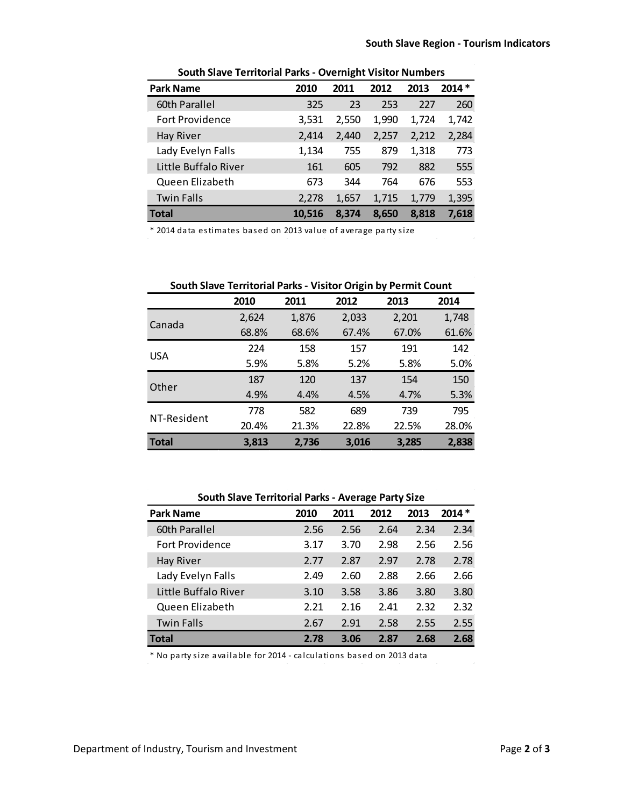| <b>Park Name</b>       | 2010   | 2011  | 2012  | 2013  | $2014*$ |  |  |  |  |
|------------------------|--------|-------|-------|-------|---------|--|--|--|--|
| 60th Parallel          | 325    | 23    | 253   | 227   | 260     |  |  |  |  |
| <b>Fort Providence</b> | 3,531  | 2,550 | 1,990 | 1,724 | 1,742   |  |  |  |  |
| <b>Hay River</b>       | 2,414  | 2,440 | 2,257 | 2,212 | 2,284   |  |  |  |  |
| Lady Evelyn Falls      | 1,134  | 755   | 879   | 1,318 | 773     |  |  |  |  |
| Little Buffalo River   | 161    | 605   | 792   | 882   | 555     |  |  |  |  |
| Queen Elizabeth        | 673    | 344   | 764   | 676   | 553     |  |  |  |  |
| <b>Twin Falls</b>      | 2,278  | 1,657 | 1,715 | 1,779 | 1,395   |  |  |  |  |
| <b>Total</b>           | 10,516 | 8.374 | 8,650 | 8,818 | 7,618   |  |  |  |  |

**South Slave Territorial Parks - Overnight Visitor Numbers**

\* 2014 data estimates based on 2013 value of average party size

| South Slave Territorial Parks - Visitor Origin by Permit Count |       |       |       |       |       |  |  |  |  |
|----------------------------------------------------------------|-------|-------|-------|-------|-------|--|--|--|--|
|                                                                | 2010  | 2011  | 2012  | 2013  | 2014  |  |  |  |  |
| Canada                                                         | 2,624 | 1,876 | 2,033 | 2,201 | 1,748 |  |  |  |  |
|                                                                | 68.8% | 68.6% | 67.4% | 67.0% | 61.6% |  |  |  |  |
| <b>USA</b>                                                     | 224   | 158   | 157   | 191   | 142   |  |  |  |  |
|                                                                | 5.9%  | 5.8%  | 5.2%  | 5.8%  | 5.0%  |  |  |  |  |
|                                                                | 187   | 120   | 137   | 154   | 150   |  |  |  |  |
| Other                                                          | 4.9%  | 4.4%  | 4.5%  | 4.7%  | 5.3%  |  |  |  |  |
|                                                                | 778   | 582   | 689   | 739   | 795   |  |  |  |  |
| NT-Resident                                                    | 20.4% | 21.3% | 22.8% | 22.5% | 28.0% |  |  |  |  |
| Total                                                          | 3,813 | 2.736 | 3.016 | 3,285 | 2,838 |  |  |  |  |

**South Slave Territorial Parks - Average Party Size**

| <b>Park Name</b>       | 2010 | 2011 | 2012 | 2013 | $2014*$ |
|------------------------|------|------|------|------|---------|
| 60th Parallel          | 2.56 | 2.56 | 2.64 | 2.34 | 2.34    |
| <b>Fort Providence</b> | 3.17 | 3.70 | 2.98 | 2.56 | 2.56    |
| <b>Hay River</b>       | 2.77 | 2.87 | 2.97 | 2.78 | 2.78    |
| Lady Evelyn Falls      | 2.49 | 2.60 | 2.88 | 2.66 | 2.66    |
| Little Buffalo River   | 3.10 | 3.58 | 3.86 | 3.80 | 3.80    |
| Queen Elizabeth        | 2.21 | 2.16 | 2.41 | 2.32 | 2.32    |
| <b>Twin Falls</b>      | 2.67 | 2.91 | 2.58 | 2.55 | 2.55    |
| Total                  | 2.78 | 3.06 | 2.87 | 2.68 | 2.68    |

\* No party size available for 2014 - calculations based on 2013 data